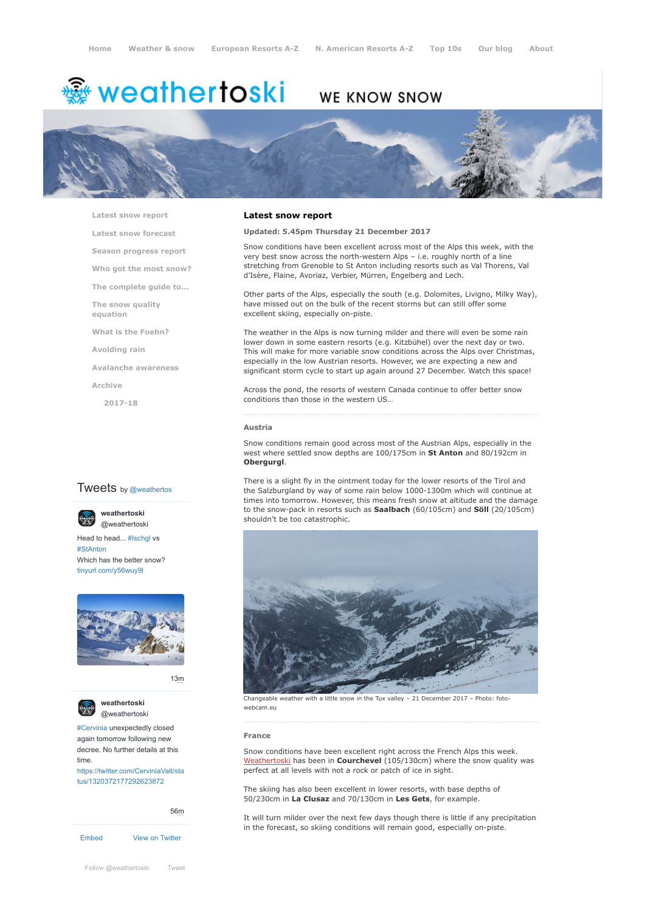# <del>▒</del> weathertoski

# WE KNOW SNOW



**[Latest snow report](https://www.weathertoski.co.uk/weather-snow/latest-snow-report/)**

- **[Latest snow forecast](https://www.weathertoski.co.uk/weather-snow/latest-snow-forecast/)**
- **[Season progress report](https://www.weathertoski.co.uk/weather-snow/season-progress-report/) [Who got the most snow?](https://www.weathertoski.co.uk/weather-snow/who-got-the-most-snow/)**
- **[The complete guide to...](https://www.weathertoski.co.uk/weather-snow/the-complete-guide-to/)**

**[The snow quality](https://www.weathertoski.co.uk/weather-snow/the-snow-quality-equation/)**

**[What is the Foehn?](https://www.weathertoski.co.uk/weather-snow/what-is-the-foehn/)**

**[Avoiding rain](https://www.weathertoski.co.uk/weather-snow/avoiding-rain/)**

**[Avalanche awareness](https://www.weathertoski.co.uk/weather-snow/avalanche-awareness/)**

**[Archive](https://www.weathertoski.co.uk/weather-snow/archive/)**

**equation**

**[2017-18](https://www.weathertoski.co.uk/weather-snow/archive/2017-18/)**

# **Tweets** by @weathertos

**weathertoski**



Head to head... [#Ischgl](https://twitter.com/hashtag/Ischgl?src=hash) vs [#StAnton](https://twitter.com/hashtag/StAnton?src=hash) Which has the better snow? [tinyurl.com/y56wuy9l](https://t.co/AeKkyB0N9S)



[13m](https://twitter.com/weathertoski/status/1320387692862050304)



**weathertoski** [@weathertoski](https://twitter.com/weathertoski)

[#Cervinia](https://twitter.com/hashtag/Cervinia?src=hash) unexpectedly closed again tomorrow following new decree. No further details at this time.

[https://twitter.com/CerviniaValt/sta](https://twitter.com/CerviniaValt/status/1320372177292623872) tus/1320372177292623872

[56m](https://twitter.com/weathertoski/status/1320376647305093126)



### [Follow @weathertoski](https://twitter.com/intent/follow?original_referer=https%3A%2F%2Fwww.weathertoski.co.uk%2F&ref_src=twsrc%5Etfw®ion=follow_link&screen_name=weathertoski&tw_p=followbutton) [Tweet](https://twitter.com/intent/tweet?original_referer=https%3A%2F%2Fwww.weathertoski.co.uk%2F&ref_src=twsrc%5Etfw&text=Weather%20to%20ski%20-%20Snow%20report%20-%2021%20December%202017&tw_p=tweetbutton&url=https%3A%2F%2Fwww.weathertoski.co.uk%2Fweather-snow%2Farchive%2Fsnow-report-21-december-2017%2F)

**Latest snow report Updated: 5.45pm Thursday 21 December 2017**

Snow conditions have been excellent across most of the Alps this week, with the very best snow across the north-western Alps – i.e. roughly north of a line stretching from Grenoble to St Anton including resorts such as Val Thorens, Val d'Isère, Flaine, Avoriaz, Verbier, Mürren, Engelberg and Lech.

Other parts of the Alps, especially the south (e.g. Dolomites, Livigno, Milky Way), have missed out on the bulk of the recent storms but can still offer some excellent skiing, especially on-piste.

The weather in the Alps is now turning milder and there will even be some rain lower down in some eastern resorts (e.g. Kitzbühel) over the next day or two. This will make for more variable snow conditions across the Alps over Christmas, especially in the low Austrian resorts. However, we are expecting a new and significant storm cycle to start up again around 27 December. Watch this space!

Across the pond, the resorts of western Canada continue to offer better snow conditions than those in the western US…

#### **Austria**

Snow conditions remain good across most of the Austrian Alps, especially in the west where settled snow depths are 100/175cm in **St Anton** and 80/192cm in **Obergurgl**.

There is a slight fly in the ointment today for the lower resorts of the Tirol and the Salzburgland by way of some rain below 1000-1300m which will continue at times into tomorrow. However, this means fresh snow at altitude and the damage to the snow-pack in resorts such as **Saalbach** (60/105cm) and **Söll** (20/105cm) shouldn't be too catastrophic.



Changeable weather with a little snow in the Tux valley – 21 December 2017 – Photo: fotowebcam.eu

#### **France**

Snow conditions have been excellent right across the French Alps this week. [Weathertoski](http://www.weathertoski.co.uk/) has been in **Courchevel** (105/130cm) where the snow quality was perfect at all levels with not a rock or patch of ice in sight.

The skiing has also been excellent in lower resorts, with base depths of 50/230cm in **La Clusaz** and 70/130cm in **Les Gets**, for example.

It will turn milder over the next few days though there is little if any precipitation in the forecast, so skiing conditions will remain good, especially on-piste.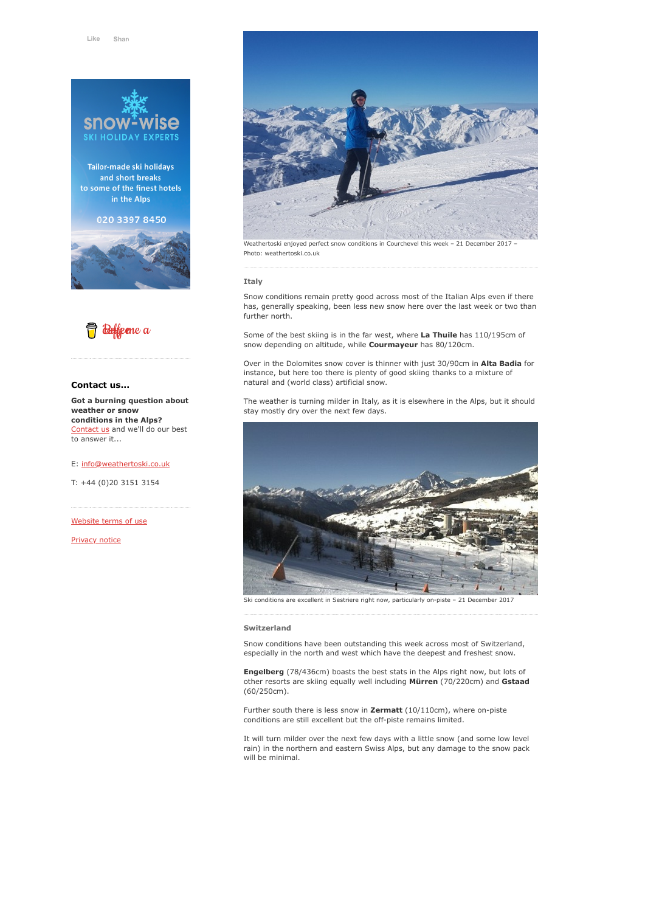

Tailor-made ski holidays and short breaks to some of the finest hotels in the Alps

020 3397 8450





# **Contact us...**

**Got a burning question about weather or snow conditions in the Alps?** [Contact us](https://www.weathertoski.co.uk/about-1/contact-us/) and we'll do our best to answer it...

#### E: [info@weathertoski.co.uk](mailto:fraser@weathertoski.co.uk)

T: +44 (0)20 3151 3154

[Website terms of use](https://www.weathertoski.co.uk/about-1/website-terms-of-use/)

[Privacy notice](https://www.weathertoski.co.uk/about-1/privacy-notice/)



Weathertoski enjoyed perfect snow conditions in Courchevel this week – 21 December 2017 – Photo: weathertoski.co.uk

#### **Italy**

Snow conditions remain pretty good across most of the Italian Alps even if there has, generally speaking, been less new snow here over the last week or two than further north.

Some of the best skiing is in the far west, where **La Thuile** has 110/195cm of snow depending on altitude, while **Courmayeur** has 80/120cm.

Over in the Dolomites snow cover is thinner with just 30/90cm in **Alta Badia** for instance, but here too there is plenty of good skiing thanks to a mixture of natural and (world class) artificial snow.

The weather is turning milder in Italy, as it is elsewhere in the Alps, but it should stay mostly dry over the next few days.



Ski conditions are excellent in Sestriere right now, particularly on-piste – 21 December 2017

#### **Switzerland**

Snow conditions have been outstanding this week across most of Switzerland, especially in the north and west which have the deepest and freshest snow.

**Engelberg** (78/436cm) boasts the best stats in the Alps right now, but lots of other resorts are skiing equally well including **Mürren** (70/220cm) and **Gstaad** (60/250cm).

Further south there is less snow in **Zermatt** (10/110cm), where on-piste conditions are still excellent but the off-piste remains limited.

It will turn milder over the next few days with a little snow (and some low level rain) in the northern and eastern Swiss Alps, but any damage to the snow pack will be minimal.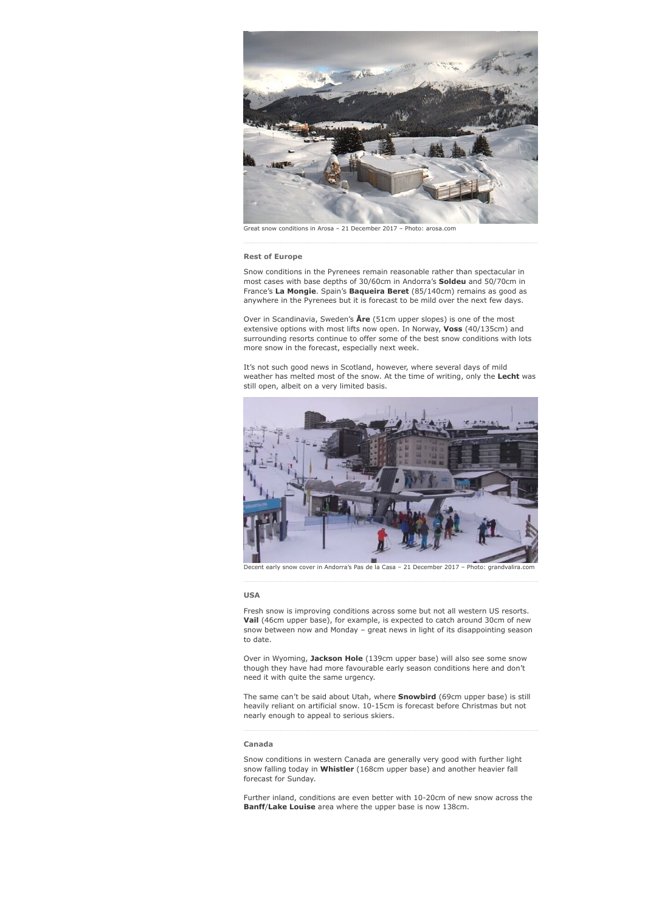

Great snow conditions in Arosa – 21 December 2017 – Photo: arosa.com

#### **Rest of Europe**

Snow conditions in the Pyrenees remain reasonable rather than spectacular in most cases with base depths of 30/60cm in Andorra's **Soldeu** and 50/70cm in France's **La Mongie**. Spain's **Baqueira Beret** (85/140cm) remains as good as anywhere in the Pyrenees but it is forecast to be mild over the next few days.

Over in Scandinavia, Sweden's **Åre** (51cm upper slopes) is one of the most extensive options with most lifts now open. In Norway, **Voss** (40/135cm) and surrounding resorts continue to offer some of the best snow conditions with lots more snow in the forecast, especially next week.

It's not such good news in Scotland, however, where several days of mild weather has melted most of the snow. At the time of writing, only the **Lecht** was still open, albeit on a very limited basis.



#### **USA**

Fresh snow is improving conditions across some but not all western US resorts. **Vail** (46cm upper base), for example, is expected to catch around 30cm of new snow between now and Monday – great news in light of its disappointing season to date.

Over in Wyoming, **Jackson Hole** (139cm upper base) will also see some snow though they have had more favourable early season conditions here and don't need it with quite the same urgency.

The same can't be said about Utah, where **Snowbird** (69cm upper base) is still heavily reliant on artificial snow. 10-15cm is forecast before Christmas but not nearly enough to appeal to serious skiers.

## **Canada**

Snow conditions in western Canada are generally very good with further light snow falling today in **Whistler** (168cm upper base) and another heavier fall forecast for Sunday.

Further inland, conditions are even better with 10-20cm of new snow across the **Banff**/**Lake Louise** area where the upper base is now 138cm.